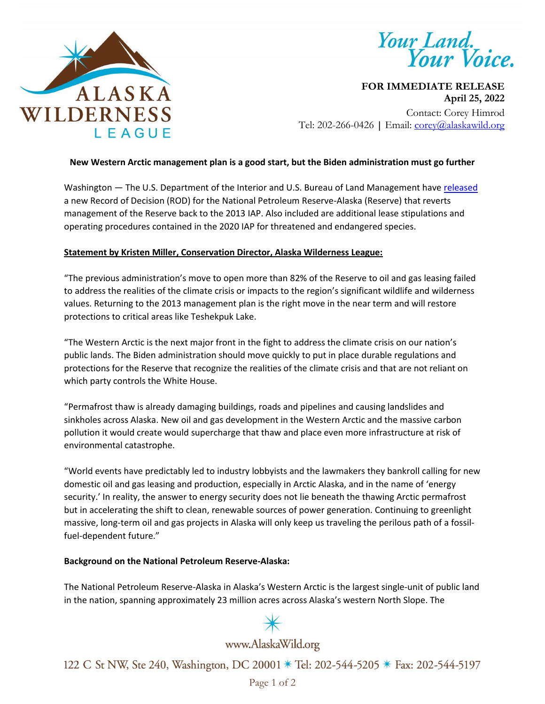

Your Land.<br>Your Voice.

**FOR IMMEDIATE RELEASE April 25, 2022** Contact: Corey Himrod Tel: 202-266-0426 **|** Email: [corey@alaskawild.org](mailto:corey@alaskawild.org)

# **New Western Arctic management plan is a good start, but the Biden administration must go further**

Washington — The U.S. Department of the Interior and U.S. Bureau of Land Management hav[e released](https://www.blm.gov/press-release/following-january-announcement-bureau-land-management-issues-record-decision-national) a new Record of Decision (ROD) for the National Petroleum Reserve-Alaska (Reserve) that reverts management of the Reserve back to the 2013 IAP. Also included are additional lease stipulations and operating procedures contained in the 2020 IAP for threatened and endangered species.

# **Statement by Kristen Miller, Conservation Director, Alaska Wilderness League:**

"The previous administration's move to open more than 82% of the Reserve to oil and gas leasing failed to address the realities of the climate crisis or impacts to the region's significant wildlife and wilderness values. Returning to the 2013 management plan is the right move in the near term and will restore protections to critical areas like Teshekpuk Lake.

"The Western Arctic is the next major front in the fight to address the climate crisis on our nation's public lands. The Biden administration should move quickly to put in place durable regulations and protections for the Reserve that recognize the realities of the climate crisis and that are not reliant on which party controls the White House.

"Permafrost thaw is already damaging buildings, roads and pipelines and causing landslides and sinkholes across Alaska. New oil and gas development in the Western Arctic and the massive carbon pollution it would create would supercharge that thaw and place even more infrastructure at risk of environmental catastrophe.

"World events have predictably led to industry lobbyists and the lawmakers they bankroll calling for new domestic oil and gas leasing and production, especially in Arctic Alaska, and in the name of 'energy security.' In reality, the answer to energy security does not lie beneath the thawing Arctic permafrost but in accelerating the shift to clean, renewable sources of power generation. Continuing to greenlight massive, long-term oil and gas projects in Alaska will only keep us traveling the perilous path of a fossilfuel-dependent future."

### **Background on the National Petroleum Reserve-Alaska:**

The National Petroleum Reserve-Alaska in Alaska's Western Arctic is the largest single-unit of public land in the nation, spanning approximately 23 million acres across Alaska's western North Slope. The



# www.AlaskaWild.org

122 C St NW, Ste 240, Washington, DC 20001 \* Tel: 202-544-5205 \* Fax: 202-544-5197